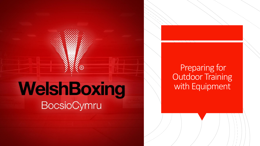# WelshBoxing **BocsioCymru**

R)

## Preparing for **Outdoor Training** with Equipment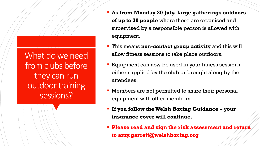What do we need from clubs before they can run outdoor training sessions?

- **As from Monday 20 July, large gatherings outdoors of up to 30 people** where these are organised and supervised by a responsible person is allowed with equipment.
- This means **non-contact group activity** and this will allow fitness sessions to take place outdoors.
- **Equipment can now be used in your fitness sessions,** either supplied by the club or brought along by the attendees.
- **EXECT** Members are not permitted to share their personal equipment with other members.
- **If you follow the Welsh Boxing Guidance – your insurance cover will continue.**
- **Please read and sign the risk assessment and return to amy.garrett@welshboxing.org**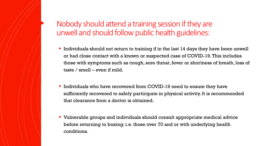#### Nobody should attend a training session if they are unwell and should follow public health guidelines:

- Individuals should not return to training if in the last 14 days they have been unwell or had close contact with a known or suspected case of COVID-19. This includes those with symptoms such as cough, sore throat, fever or shortness of breath, loss of taste / smell – even if mild.
- Individuals who have recovered from COVID-19 need to ensure they have sufficiently recovered to safely participate in physical activity. It is recommended that clearance from a doctor is obtained.
- Vulnerable groups and individuals should consult appropriate medical advice before returning to boxing: i.e. those over 70 and or with underlying health conditions.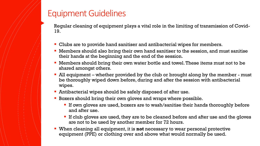### Equipment Guidelines

Regular cleaning of equipment plays a vital role in the limiting of transmission of Covid-19.

- Clubs are to provide hand sanitiser and antibacterial wipes for members.
- **Members should also bring their own hand sanitiser to the session, and must sanitise** their hands at the beginning and the end of the session.
- Members should bring their own water bottle and towel. These items must not to be shared amongst others.
- All equipment whether provided by the club or brought along by the member must be thoroughly wiped down before, during and after the session with antibacterial wipes.
- **EXECUTE:** Antibacterial wipes should be safely disposed of after use.
- Boxers should bring their own gloves and wraps where possible.
	- **If own gloves are used, boxers are to wash/sanitise their hands thoroughly before** and after use.
	- If club gloves are used, they are to be cleaned before and after use and the gloves are not to be used by another member for 72 hours.
- When cleaning all equipment, it is **not** necessary to wear personal protective equipment (PPE) or clothing over and above what would normally be used.